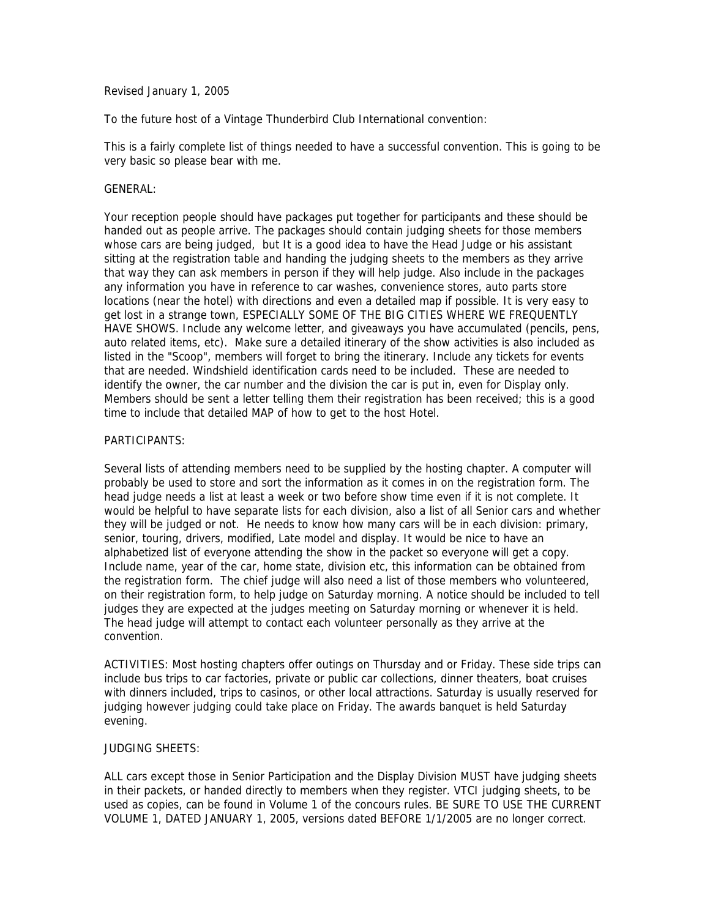Revised January 1, 2005

To the future host of a Vintage Thunderbird Club International convention:

This is a fairly complete list of things needed to have a successful convention. This is going to be very basic so please bear with me.

## GENERAL:

Your reception people should have packages put together for participants and these should be handed out as people arrive. The packages should contain judging sheets for those members whose cars are being judged. but It is a good idea to have the Head Judge or his assistant sitting at the registration table and handing the judging sheets to the members as they arrive that way they can ask members in person if they will help judge. Also include in the packages any information you have in reference to car washes, convenience stores, auto parts store locations (near the hotel) with directions and even a detailed map if possible. It is very easy to get lost in a strange town, ESPECIALLY SOME OF THE BIG CITIES WHERE WE FREQUENTLY HAVE SHOWS. Include any welcome letter, and giveaways you have accumulated (pencils, pens, auto related items, etc). Make sure a detailed itinerary of the show activities is also included as listed in the "Scoop", members will forget to bring the itinerary. Include any tickets for events that are needed. Windshield identification cards need to be included. These are needed to identify the owner, the car number and the division the car is put in, even for Display only. Members should be sent a letter telling them their registration has been received; this is a good time to include that detailed MAP of how to get to the host Hotel.

## PARTICIPANTS:

Several lists of attending members need to be supplied by the hosting chapter. A computer will probably be used to store and sort the information as it comes in on the registration form. The head judge needs a list at least a week or two before show time even if it is not complete. It would be helpful to have separate lists for each division, also a list of all Senior cars and whether they will be judged or not. He needs to know how many cars will be in each division: primary, senior, touring, drivers, modified, Late model and display. It would be nice to have an alphabetized list of everyone attending the show in the packet so everyone will get a copy. Include name, year of the car, home state, division etc, this information can be obtained from the registration form. The chief judge will also need a list of those members who volunteered, on their registration form, to help judge on Saturday morning. A notice should be included to tell judges they are expected at the judges meeting on Saturday morning or whenever it is held. The head judge will attempt to contact each volunteer personally as they arrive at the convention.

ACTIVITIES: Most hosting chapters offer outings on Thursday and or Friday. These side trips can include bus trips to car factories, private or public car collections, dinner theaters, boat cruises with dinners included, trips to casinos, or other local attractions. Saturday is usually reserved for judging however judging could take place on Friday. The awards banquet is held Saturday evening.

## JUDGING SHEETS:

ALL cars except those in Senior Participation and the Display Division MUST have judging sheets in their packets, or handed directly to members when they register. VTCI judging sheets, to be used as copies, can be found in Volume 1 of the concours rules. BE SURE TO USE THE CURRENT VOLUME 1, DATED JANUARY 1, 2005, versions dated BEFORE 1/1/2005 are no longer correct.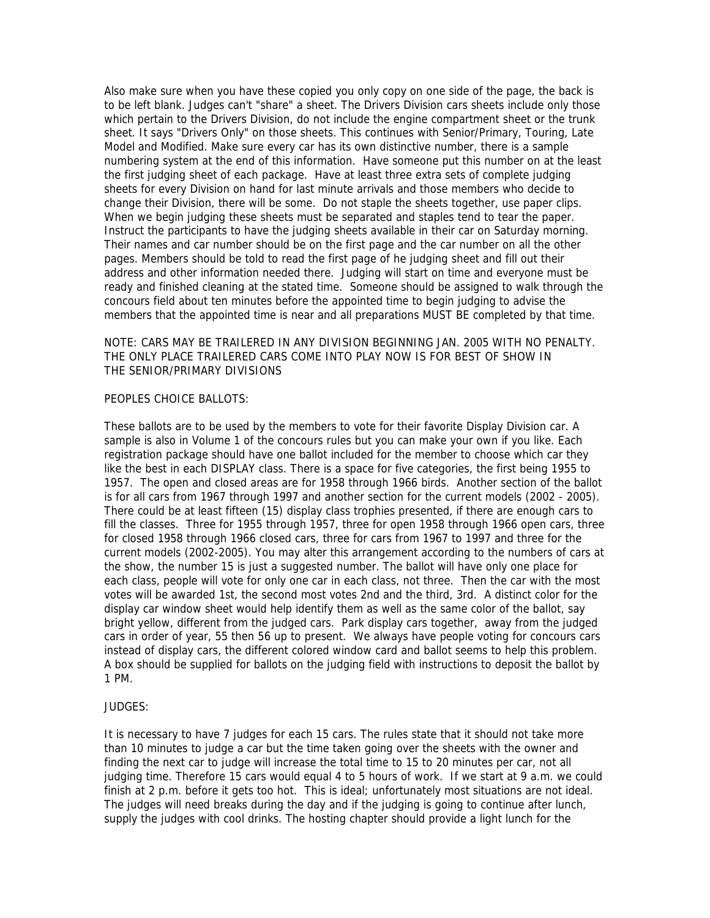Also make sure when you have these copied you only copy on one side of the page, the back is to be left blank. Judges can't "share" a sheet. The Drivers Division cars sheets include only those which pertain to the Drivers Division, do not include the engine compartment sheet or the trunk sheet. It says "Drivers Only" on those sheets. This continues with Senior/Primary, Touring, Late Model and Modified. Make sure every car has its own distinctive number, there is a sample numbering system at the end of this information. Have someone put this number on at the least the first judging sheet of each package. Have at least three extra sets of complete judging sheets for every Division on hand for last minute arrivals and those members who decide to change their Division, there will be some. Do not staple the sheets together, use paper clips. When we begin judging these sheets must be separated and staples tend to tear the paper. Instruct the participants to have the judging sheets available in their car on Saturday morning. Their names and car number should be on the first page and the car number on all the other pages. Members should be told to read the first page of he judging sheet and fill out their address and other information needed there. Judging will start on time and everyone must be ready and finished cleaning at the stated time. Someone should be assigned to walk through the concours field about ten minutes before the appointed time to begin judging to advise the members that the appointed time is near and all preparations MUST BE completed by that time.

# NOTE: CARS MAY BE TRAILERED IN ANY DIVISION BEGINNING JAN. 2005 WITH NO PENALTY. THE ONLY PLACE TRAILERED CARS COME INTO PLAY NOW IS FOR BEST OF SHOW IN THE SENIOR/PRIMARY DIVISIONS

#### PEOPLES CHOICE BALLOTS:

These ballots are to be used by the members to vote for their favorite Display Division car. A sample is also in Volume 1 of the concours rules but you can make your own if you like. Each registration package should have one ballot included for the member to choose which car they like the best in each DISPLAY class. There is a space for five categories, the first being 1955 to 1957. The open and closed areas are for 1958 through 1966 birds. Another section of the ballot is for all cars from 1967 through 1997 and another section for the current models (2002 - 2005). There could be at least fifteen (15) display class trophies presented, if there are enough cars to fill the classes. Three for 1955 through 1957, three for open 1958 through 1966 open cars, three for closed 1958 through 1966 closed cars, three for cars from 1967 to 1997 and three for the current models (2002-2005). You may alter this arrangement according to the numbers of cars at the show, the number 15 is just a suggested number. The ballot will have only one place for each class, people will vote for only one car in each class, not three. Then the car with the most votes will be awarded 1st, the second most votes 2nd and the third, 3rd. A distinct color for the display car window sheet would help identify them as well as the same color of the ballot, say bright yellow, different from the judged cars. Park display cars together, away from the judged cars in order of year, 55 then 56 up to present. We always have people voting for concours cars instead of display cars, the different colored window card and ballot seems to help this problem. A box should be supplied for ballots on the judging field with instructions to deposit the ballot by 1 PM.

## JUDGES:

It is necessary to have 7 judges for each 15 cars. The rules state that it should not take more than 10 minutes to judge a car but the time taken going over the sheets with the owner and finding the next car to judge will increase the total time to 15 to 20 minutes per car, not all judging time. Therefore 15 cars would equal 4 to 5 hours of work. If we start at 9 a.m. we could finish at 2 p.m. before it gets too hot. This is ideal; unfortunately most situations are not ideal. The judges will need breaks during the day and if the judging is going to continue after lunch, supply the judges with cool drinks. The hosting chapter should provide a light lunch for the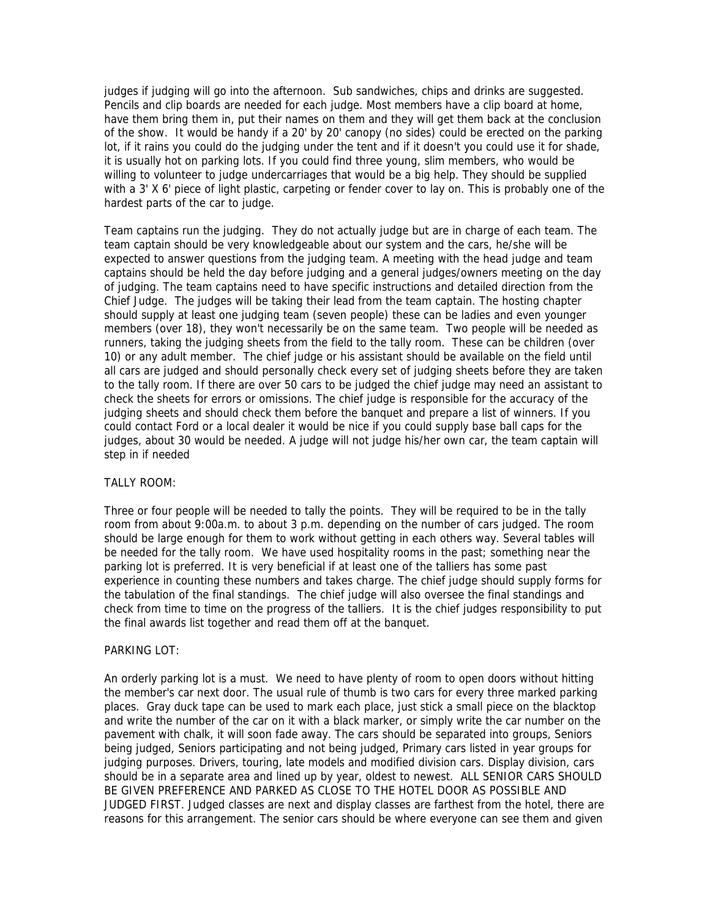judges if judging will go into the afternoon. Sub sandwiches, chips and drinks are suggested. Pencils and clip boards are needed for each judge. Most members have a clip board at home, have them bring them in, put their names on them and they will get them back at the conclusion of the show. It would be handy if a 20' by 20' canopy (no sides) could be erected on the parking lot, if it rains you could do the judging under the tent and if it doesn't you could use it for shade, it is usually hot on parking lots. If you could find three young, slim members, who would be willing to volunteer to judge undercarriages that would be a big help. They should be supplied with a 3' X 6' piece of light plastic, carpeting or fender cover to lay on. This is probably one of the hardest parts of the car to judge.

Team captains run the judging. They do not actually judge but are in charge of each team. The team captain should be very knowledgeable about our system and the cars, he/she will be expected to answer questions from the judging team. A meeting with the head judge and team captains should be held the day before judging and a general judges/owners meeting on the day of judging. The team captains need to have specific instructions and detailed direction from the Chief Judge. The judges will be taking their lead from the team captain. The hosting chapter should supply at least one judging team (seven people) these can be ladies and even younger members (over 18), they won't necessarily be on the same team. Two people will be needed as runners, taking the judging sheets from the field to the tally room. These can be children (over 10) or any adult member. The chief judge or his assistant should be available on the field until all cars are judged and should personally check every set of judging sheets before they are taken to the tally room. If there are over 50 cars to be judged the chief judge may need an assistant to check the sheets for errors or omissions. The chief judge is responsible for the accuracy of the judging sheets and should check them before the banquet and prepare a list of winners. If you could contact Ford or a local dealer it would be nice if you could supply base ball caps for the judges, about 30 would be needed. A judge will not judge his/her own car, the team captain will step in if needed

## TALLY ROOM:

Three or four people will be needed to tally the points. They will be required to be in the tally room from about 9:00a.m. to about 3 p.m. depending on the number of cars judged. The room should be large enough for them to work without getting in each others way. Several tables will be needed for the tally room. We have used hospitality rooms in the past; something near the parking lot is preferred. It is very beneficial if at least one of the talliers has some past experience in counting these numbers and takes charge. The chief judge should supply forms for the tabulation of the final standings. The chief judge will also oversee the final standings and check from time to time on the progress of the talliers. It is the chief judges responsibility to put the final awards list together and read them off at the banquet.

## PARKING LOT:

An orderly parking lot is a must. We need to have plenty of room to open doors without hitting the member's car next door. The usual rule of thumb is two cars for every three marked parking places. Gray duck tape can be used to mark each place, just stick a small piece on the blacktop and write the number of the car on it with a black marker, or simply write the car number on the pavement with chalk, it will soon fade away. The cars should be separated into groups, Seniors being judged, Seniors participating and not being judged, Primary cars listed in year groups for judging purposes. Drivers, touring, late models and modified division cars. Display division, cars should be in a separate area and lined up by year, oldest to newest. ALL SENIOR CARS SHOULD BE GIVEN PREFERENCE AND PARKED AS CLOSE TO THE HOTEL DOOR AS POSSIBLE AND JUDGED FIRST. Judged classes are next and display classes are farthest from the hotel, there are reasons for this arrangement. The senior cars should be where everyone can see them and given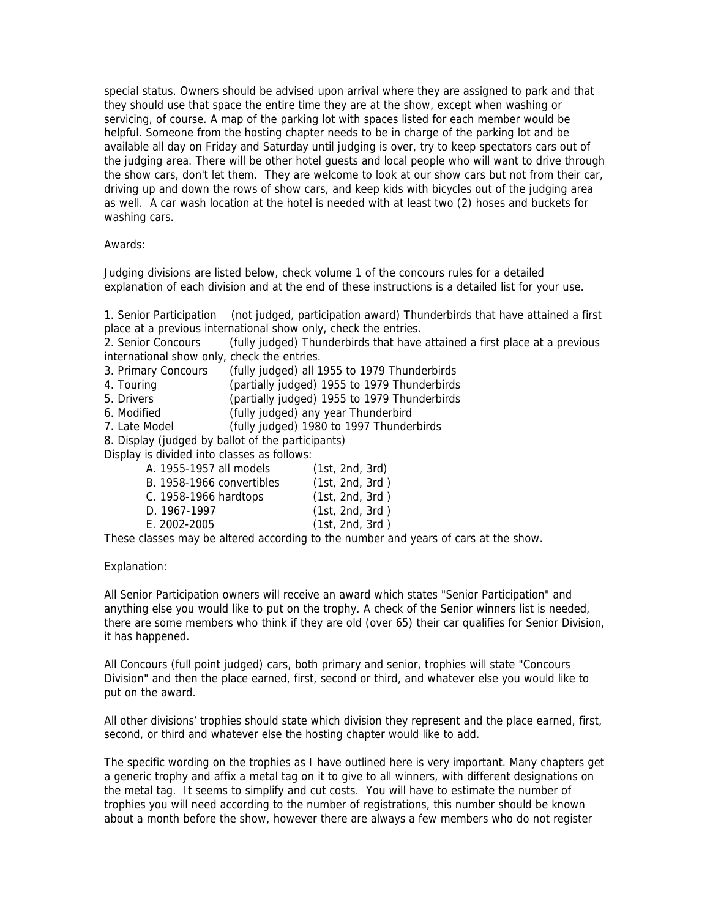special status. Owners should be advised upon arrival where they are assigned to park and that they should use that space the entire time they are at the show, except when washing or servicing, of course. A map of the parking lot with spaces listed for each member would be helpful. Someone from the hosting chapter needs to be in charge of the parking lot and be available all day on Friday and Saturday until judging is over, try to keep spectators cars out of the judging area. There will be other hotel guests and local people who will want to drive through the show cars, don't let them. They are welcome to look at our show cars but not from their car, driving up and down the rows of show cars, and keep kids with bicycles out of the judging area as well. A car wash location at the hotel is needed with at least two (2) hoses and buckets for washing cars.

#### Awards:

Judging divisions are listed below, check volume 1 of the concours rules for a detailed explanation of each division and at the end of these instructions is a detailed list for your use.

1. Senior Participation (not judged, participation award) Thunderbirds that have attained a first place at a previous international show only, check the entries.

2. Senior Concours (fully judged) Thunderbirds that have attained a first place at a previous international show only, check the entries.

- 3. Primary Concours (fully judged) all 1955 to 1979 Thunderbirds
- 4. Touring (partially judged) 1955 to 1979 Thunderbirds
- 5. Drivers (partially judged) 1955 to 1979 Thunderbirds
- 6. Modified (fully judged) any year Thunderbird
- 7. Late Model (fully judged) 1980 to 1997 Thunderbirds

8. Display (judged by ballot of the participants)

Display is divided into classes as follows:

| A. 1955-1957 all models   | (1st, 2nd, 3rd) |
|---------------------------|-----------------|
|                           |                 |
| B. 1958-1966 convertibles | (1st, 2nd, 3rd) |
|                           |                 |
| C. 1958-1966 hardtops     | (1st, 2nd, 3rd) |
|                           |                 |
| D. 1967-1997              | (1st, 2nd, 3rd) |
|                           |                 |
| E. 2002-2005              | (1st, 2nd, 3rd) |
|                           |                 |
|                           |                 |

These classes may be altered according to the number and years of cars at the show.

#### Explanation:

All Senior Participation owners will receive an award which states "Senior Participation" and anything else you would like to put on the trophy. A check of the Senior winners list is needed, there are some members who think if they are old (over 65) their car qualifies for Senior Division, it has happened.

All Concours (full point judged) cars, both primary and senior, trophies will state "Concours Division" and then the place earned, first, second or third, and whatever else you would like to put on the award.

All other divisions' trophies should state which division they represent and the place earned, first, second, or third and whatever else the hosting chapter would like to add.

The specific wording on the trophies as I have outlined here is very important. Many chapters get a generic trophy and affix a metal tag on it to give to all winners, with different designations on the metal tag. It seems to simplify and cut costs. You will have to estimate the number of trophies you will need according to the number of registrations, this number should be known about a month before the show, however there are always a few members who do not register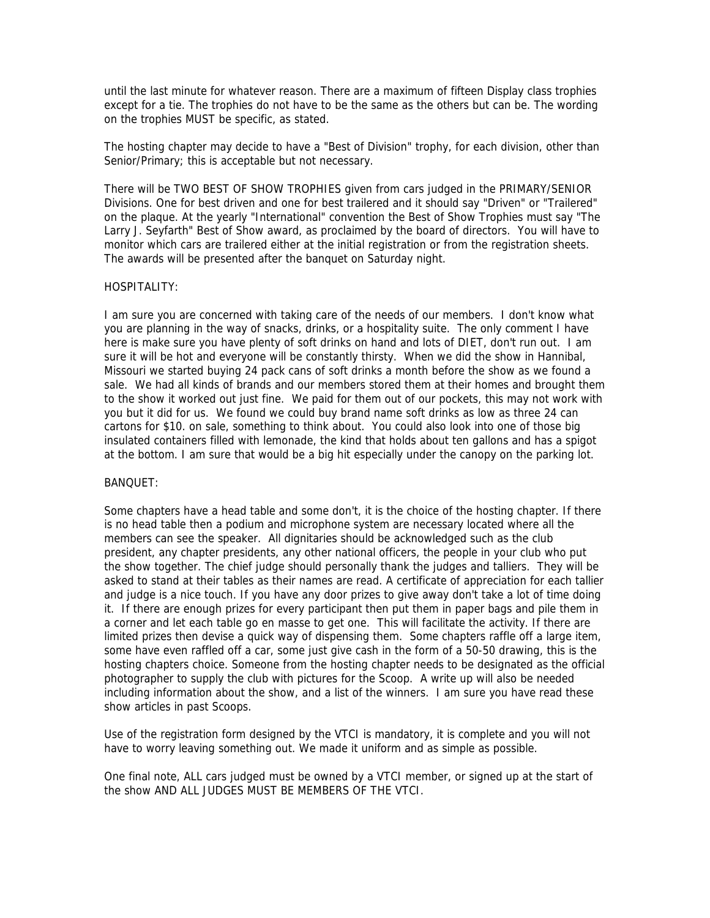until the last minute for whatever reason. There are a maximum of fifteen Display class trophies except for a tie. The trophies do not have to be the same as the others but can be. The wording on the trophies MUST be specific, as stated.

The hosting chapter may decide to have a "Best of Division" trophy, for each division, other than Senior/Primary; this is acceptable but not necessary.

There will be TWO BEST OF SHOW TROPHIES given from cars judged in the PRIMARY/SENIOR Divisions. One for best driven and one for best trailered and it should say "Driven" or "Trailered" on the plaque. At the yearly "International" convention the Best of Show Trophies must say "The Larry J. Seyfarth" Best of Show award, as proclaimed by the board of directors. You will have to monitor which cars are trailered either at the initial registration or from the registration sheets. The awards will be presented after the banquet on Saturday night.

# HOSPITALITY:

I am sure you are concerned with taking care of the needs of our members. I don't know what you are planning in the way of snacks, drinks, or a hospitality suite. The only comment I have here is make sure you have plenty of soft drinks on hand and lots of DIET, don't run out. I am sure it will be hot and everyone will be constantly thirsty. When we did the show in Hannibal, Missouri we started buying 24 pack cans of soft drinks a month before the show as we found a sale. We had all kinds of brands and our members stored them at their homes and brought them to the show it worked out just fine. We paid for them out of our pockets, this may not work with you but it did for us. We found we could buy brand name soft drinks as low as three 24 can cartons for \$10. on sale, something to think about. You could also look into one of those big insulated containers filled with lemonade, the kind that holds about ten gallons and has a spigot at the bottom. I am sure that would be a big hit especially under the canopy on the parking lot.

#### BANQUET:

Some chapters have a head table and some don't, it is the choice of the hosting chapter. If there is no head table then a podium and microphone system are necessary located where all the members can see the speaker. All dignitaries should be acknowledged such as the club president, any chapter presidents, any other national officers, the people in your club who put the show together. The chief judge should personally thank the judges and talliers. They will be asked to stand at their tables as their names are read. A certificate of appreciation for each tallier and judge is a nice touch. If you have any door prizes to give away don't take a lot of time doing it. If there are enough prizes for every participant then put them in paper bags and pile them in a corner and let each table go en masse to get one. This will facilitate the activity. If there are limited prizes then devise a quick way of dispensing them. Some chapters raffle off a large item, some have even raffled off a car, some just give cash in the form of a 50-50 drawing, this is the hosting chapters choice. Someone from the hosting chapter needs to be designated as the official photographer to supply the club with pictures for the Scoop. A write up will also be needed including information about the show, and a list of the winners. I am sure you have read these show articles in past Scoops.

Use of the registration form designed by the VTCI is mandatory, it is complete and you will not have to worry leaving something out. We made it uniform and as simple as possible.

One final note, ALL cars judged must be owned by a VTCI member, or signed up at the start of the show AND ALL JUDGES MUST BE MEMBERS OF THE VTCI.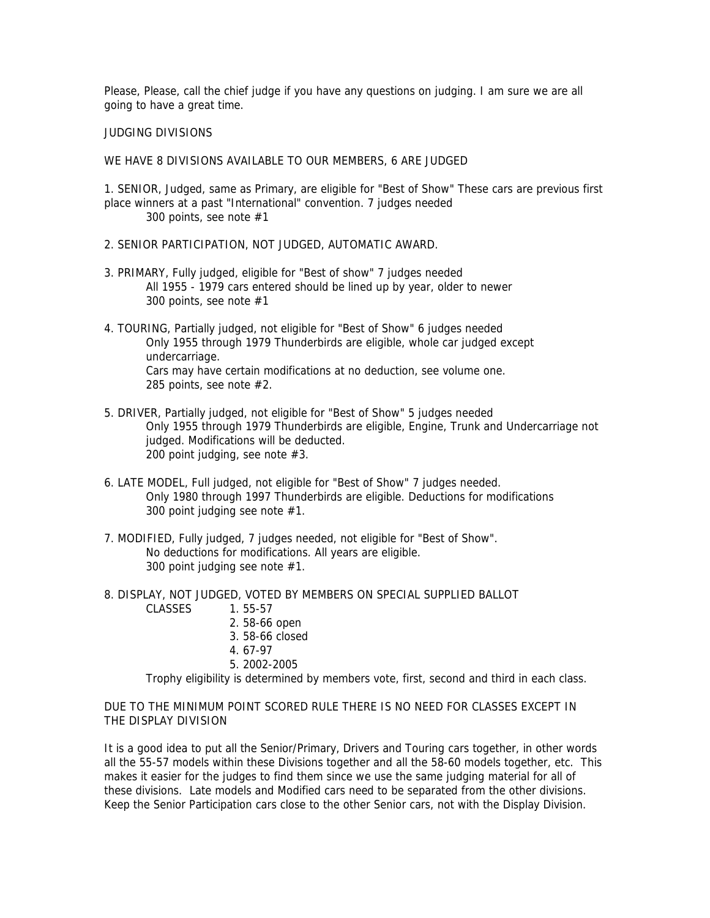Please, Please, call the chief judge if you have any questions on judging. I am sure we are all going to have a great time.

JUDGING DIVISIONS

WE HAVE 8 DIVISIONS AVAILABLE TO OUR MEMBERS, 6 ARE JUDGED

1. SENIOR, Judged, same as Primary, are eligible for "Best of Show" These cars are previous first place winners at a past "International" convention. 7 judges needed 300 points, see note #1

- 2. SENIOR PARTICIPATION, NOT JUDGED, AUTOMATIC AWARD.
- 3. PRIMARY, Fully judged, eligible for "Best of show" 7 judges needed All 1955 - 1979 cars entered should be lined up by year, older to newer 300 points, see note #1
- 4. TOURING, Partially judged, not eligible for "Best of Show" 6 judges needed Only 1955 through 1979 Thunderbirds are eligible, whole car judged except undercarriage. Cars may have certain modifications at no deduction, see volume one. 285 points, see note #2.
- 5. DRIVER, Partially judged, not eligible for "Best of Show" 5 judges needed Only 1955 through 1979 Thunderbirds are eligible, Engine, Trunk and Undercarriage not judged. Modifications will be deducted. 200 point judging, see note #3.
- 6. LATE MODEL, Full judged, not eligible for "Best of Show" 7 judges needed. Only 1980 through 1997 Thunderbirds are eligible. Deductions for modifications 300 point judging see note #1.
- 7. MODIFIED, Fully judged, 7 judges needed, not eligible for "Best of Show". No deductions for modifications. All years are eligible. 300 point judging see note #1.
- 8. DISPLAY, NOT JUDGED, VOTED BY MEMBERS ON SPECIAL SUPPLIED BALLOT CLASSES 1. 55-57
	- 2. 58-66 open
	- 3. 58-66 closed
	- 4. 67-97
	- 5. 2002-2005

Trophy eligibility is determined by members vote, first, second and third in each class.

DUE TO THE MINIMUM POINT SCORED RULE THERE IS NO NEED FOR CLASSES EXCEPT IN THE DISPLAY DIVISION

It is a good idea to put all the Senior/Primary, Drivers and Touring cars together, in other words all the 55-57 models within these Divisions together and all the 58-60 models together, etc. This makes it easier for the judges to find them since we use the same judging material for all of these divisions. Late models and Modified cars need to be separated from the other divisions. Keep the Senior Participation cars close to the other Senior cars, not with the Display Division.